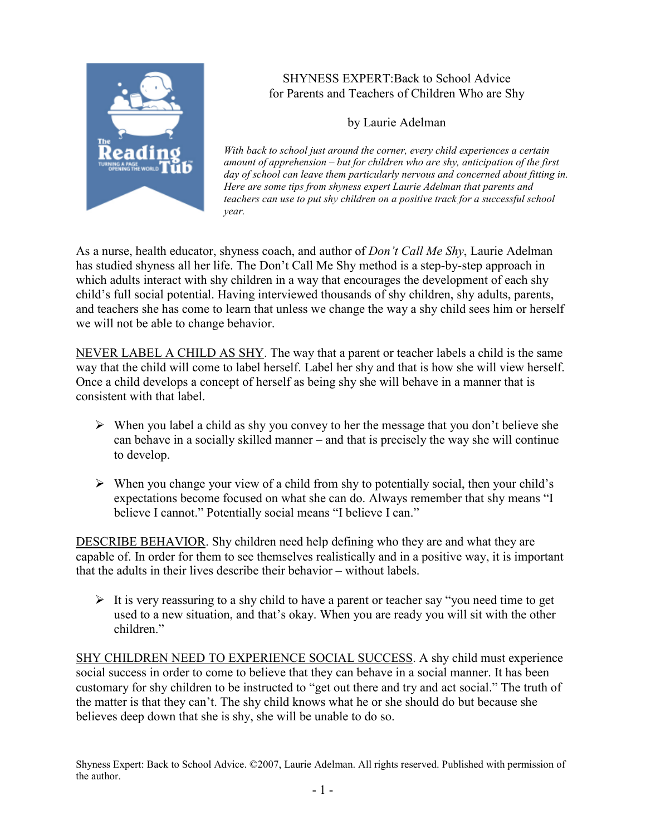

## SHYNESS EXPERT:Back to School Advice for Parents and Teachers of Children Who are Shy

by Laurie Adelman

With back to school just around the corner, every child experiences a certain amount of apprehension – but for children who are shy, anticipation of the first day of school can leave them particularly nervous and concerned about fitting in. Here are some tips from shyness expert Laurie Adelman that parents and teachers can use to put shy children on a positive track for a successful school year.

As a nurse, health educator, shyness coach, and author of *Don't Call Me Shy*, Laurie Adelman has studied shyness all her life. The Don't Call Me Shy method is a step-by-step approach in which adults interact with shy children in a way that encourages the development of each shy child's full social potential. Having interviewed thousands of shy children, shy adults, parents, and teachers she has come to learn that unless we change the way a shy child sees him or herself we will not be able to change behavior.

NEVER LABEL A CHILD AS SHY. The way that a parent or teacher labels a child is the same way that the child will come to label herself. Label her shy and that is how she will view herself. Once a child develops a concept of herself as being shy she will behave in a manner that is consistent with that label.

- $\triangleright$  When you label a child as shy you convey to her the message that you don't believe she can behave in a socially skilled manner – and that is precisely the way she will continue to develop.
- $\triangleright$  When you change your view of a child from shy to potentially social, then your child's expectations become focused on what she can do. Always remember that shy means "I believe I cannot." Potentially social means "I believe I can."

DESCRIBE BEHAVIOR. Shy children need help defining who they are and what they are capable of. In order for them to see themselves realistically and in a positive way, it is important that the adults in their lives describe their behavior – without labels.

It is very reassuring to a shy child to have a parent or teacher say "you need time to get used to a new situation, and that's okay. When you are ready you will sit with the other children<sup>"</sup>

SHY CHILDREN NEED TO EXPERIENCE SOCIAL SUCCESS. A shy child must experience social success in order to come to believe that they can behave in a social manner. It has been customary for shy children to be instructed to "get out there and try and act social." The truth of the matter is that they can't. The shy child knows what he or she should do but because she believes deep down that she is shy, she will be unable to do so.

Shyness Expert: Back to School Advice. ©2007, Laurie Adelman. All rights reserved. Published with permission of the author.